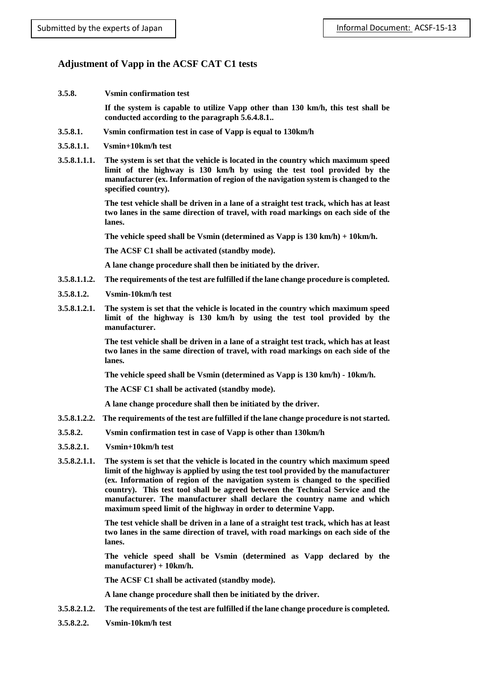## **Adjustment of Vapp in the ACSF CAT C1 tests**

**3.5.8. Vsmin confirmation test**

**If the system is capable to utilize Vapp other than 130 km/h, this test shall be conducted according to the paragraph 5.6.4.8.1..**

- **3.5.8.1. Vsmin confirmation test in case of Vapp is equal to 130km/h**
- **3.5.8.1.1. Vsmin+10km/h test**
- **3.5.8.1.1.1. The system is set that the vehicle is located in the country which maximum speed limit of the highway is 130 km/h by using the test tool provided by the manufacturer (ex. Information of region of the navigation system is changed to the specified country).**

**The test vehicle shall be driven in a lane of a straight test track, which has at least two lanes in the same direction of travel, with road markings on each side of the lanes.**

**The vehicle speed shall be Vsmin (determined as Vapp is 130 km/h) + 10km/h.**

**The ACSF C1 shall be activated (standby mode).**

**A lane change procedure shall then be initiated by the driver.**

- **3.5.8.1.1.2. The requirements of the test are fulfilled if the lane change procedure is completed.**
- **3.5.8.1.2. Vsmin-10km/h test**
- **3.5.8.1.2.1. The system is set that the vehicle is located in the country which maximum speed limit of the highway is 130 km/h by using the test tool provided by the manufacturer.**

**The test vehicle shall be driven in a lane of a straight test track, which has at least two lanes in the same direction of travel, with road markings on each side of the lanes.**

**The vehicle speed shall be Vsmin (determined as Vapp is 130 km/h) - 10km/h.**

**The ACSF C1 shall be activated (standby mode).**

**A lane change procedure shall then be initiated by the driver.**

- **3.5.8.1.2.2. The requirements of the test are fulfilled if the lane change procedure is not started.**
- **3.5.8.2. Vsmin confirmation test in case of Vapp is other than 130km/h**
- **3.5.8.2.1. Vsmin+10km/h test**
- **3.5.8.2.1.1. The system is set that the vehicle is located in the country which maximum speed limit of the highway is applied by using the test tool provided by the manufacturer (ex. Information of region of the navigation system is changed to the specified country). This test tool shall be agreed between the Technical Service and the manufacturer. The manufacturer shall declare the country name and which maximum speed limit of the highway in order to determine Vapp.**

**The test vehicle shall be driven in a lane of a straight test track, which has at least two lanes in the same direction of travel, with road markings on each side of the lanes.**

**The vehicle speed shall be Vsmin (determined as Vapp declared by the manufacturer) + 10km/h.**

**The ACSF C1 shall be activated (standby mode).**

**A lane change procedure shall then be initiated by the driver.**

- **3.5.8.2.1.2. The requirements of the test are fulfilled if the lane change procedure is completed.**
- **3.5.8.2.2. Vsmin-10km/h test**